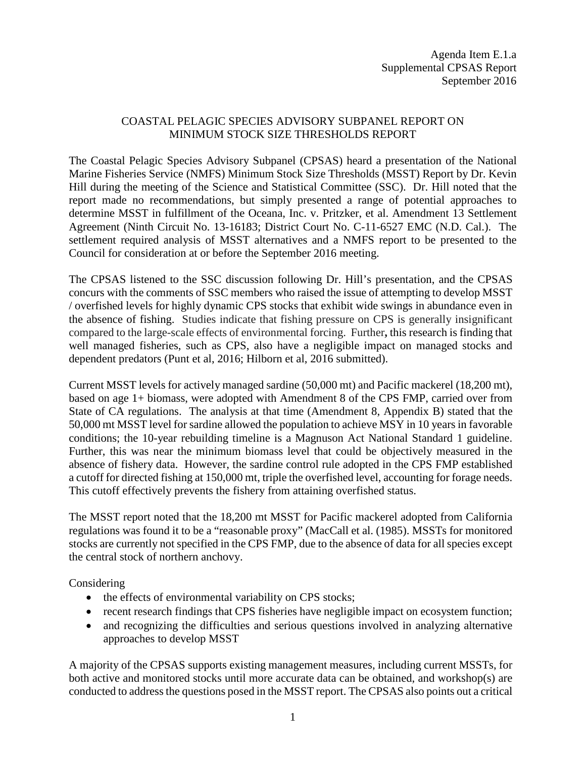## COASTAL PELAGIC SPECIES ADVISORY SUBPANEL REPORT ON MINIMUM STOCK SIZE THRESHOLDS REPORT

The Coastal Pelagic Species Advisory Subpanel (CPSAS) heard a presentation of the National Marine Fisheries Service (NMFS) Minimum Stock Size Thresholds (MSST) Report by Dr. Kevin Hill during the meeting of the Science and Statistical Committee (SSC). Dr. Hill noted that the report made no recommendations, but simply presented a range of potential approaches to determine MSST in fulfillment of the Oceana, Inc. v. Pritzker, et al. Amendment 13 Settlement Agreement (Ninth Circuit No. 13-16183; District Court No. C-11-6527 EMC (N.D. Cal.). The settlement required analysis of MSST alternatives and a NMFS report to be presented to the Council for consideration at or before the September 2016 meeting.

The CPSAS listened to the SSC discussion following Dr. Hill's presentation, and the CPSAS concurs with the comments of SSC members who raised the issue of attempting to develop MSST / overfished levels for highly dynamic CPS stocks that exhibit wide swings in abundance even in the absence of fishing. Studies indicate that fishing pressure on CPS is generally insignificant compared to the large-scale effects of environmental forcing. Further**,** this research is finding that well managed fisheries, such as CPS, also have a negligible impact on managed stocks and dependent predators (Punt et al, 2016; Hilborn et al, 2016 submitted).

Current MSST levels for actively managed sardine (50,000 mt) and Pacific mackerel (18,200 mt), based on age 1+ biomass, were adopted with Amendment 8 of the CPS FMP, carried over from State of CA regulations. The analysis at that time (Amendment 8, Appendix B) stated that the 50,000 mt MSST level for sardine allowed the population to achieve MSY in 10 years in favorable conditions; the 10-year rebuilding timeline is a Magnuson Act National Standard 1 guideline. Further, this was near the minimum biomass level that could be objectively measured in the absence of fishery data. However, the sardine control rule adopted in the CPS FMP established a cutoff for directed fishing at 150,000 mt, triple the overfished level, accounting for forage needs. This cutoff effectively prevents the fishery from attaining overfished status.

The MSST report noted that the 18,200 mt MSST for Pacific mackerel adopted from California regulations was found it to be a "reasonable proxy" (MacCall et al. (1985). MSSTs for monitored stocks are currently not specified in the CPS FMP, due to the absence of data for all species except the central stock of northern anchovy.

Considering

- the effects of environmental variability on CPS stocks;
- recent research findings that CPS fisheries have negligible impact on ecosystem function;
- and recognizing the difficulties and serious questions involved in analyzing alternative approaches to develop MSST

A majority of the CPSAS supports existing management measures, including current MSSTs, for both active and monitored stocks until more accurate data can be obtained, and workshop(s) are conducted to address the questions posed in the MSST report. The CPSAS also points out a critical